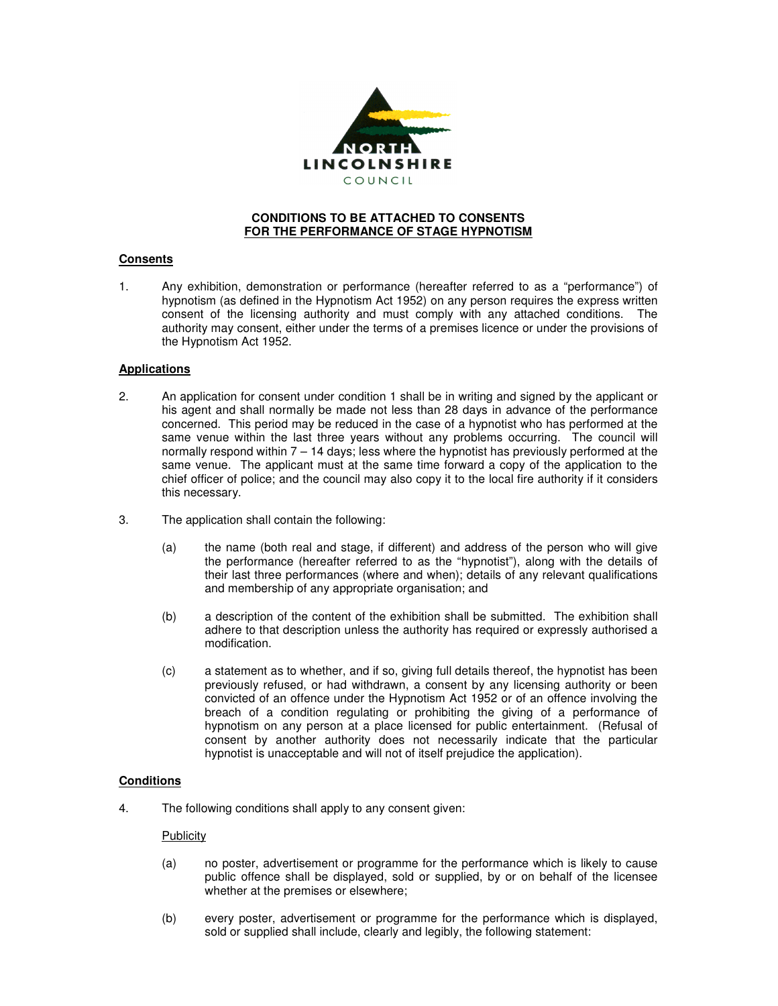

## **CONDITIONS TO BE ATTACHED TO CONSENTS FOR THE PERFORMANCE OF STAGE HYPNOTISM**

# **Consents**

1. Any exhibition, demonstration or performance (hereafter referred to as a "performance") of hypnotism (as defined in the Hypnotism Act 1952) on any person requires the express written consent of the licensing authority and must comply with any attached conditions. The authority may consent, either under the terms of a premises licence or under the provisions of the Hypnotism Act 1952.

# **Applications**

- 2. An application for consent under condition 1 shall be in writing and signed by the applicant or his agent and shall normally be made not less than 28 days in advance of the performance concerned. This period may be reduced in the case of a hypnotist who has performed at the same venue within the last three years without any problems occurring. The council will normally respond within 7 – 14 days; less where the hypnotist has previously performed at the same venue. The applicant must at the same time forward a copy of the application to the chief officer of police; and the council may also copy it to the local fire authority if it considers this necessary.
- 3. The application shall contain the following:
	- (a) the name (both real and stage, if different) and address of the person who will give the performance (hereafter referred to as the "hypnotist"), along with the details of their last three performances (where and when); details of any relevant qualifications and membership of any appropriate organisation; and
	- (b) a description of the content of the exhibition shall be submitted. The exhibition shall adhere to that description unless the authority has required or expressly authorised a modification.
	- (c) a statement as to whether, and if so, giving full details thereof, the hypnotist has been previously refused, or had withdrawn, a consent by any licensing authority or been convicted of an offence under the Hypnotism Act 1952 or of an offence involving the breach of a condition regulating or prohibiting the giving of a performance of hypnotism on any person at a place licensed for public entertainment. (Refusal of consent by another authority does not necessarily indicate that the particular hypnotist is unacceptable and will not of itself prejudice the application).

# **Conditions**

4. The following conditions shall apply to any consent given:

## **Publicity**

- (a) no poster, advertisement or programme for the performance which is likely to cause public offence shall be displayed, sold or supplied, by or on behalf of the licensee whether at the premises or elsewhere;
- (b) every poster, advertisement or programme for the performance which is displayed, sold or supplied shall include, clearly and legibly, the following statement: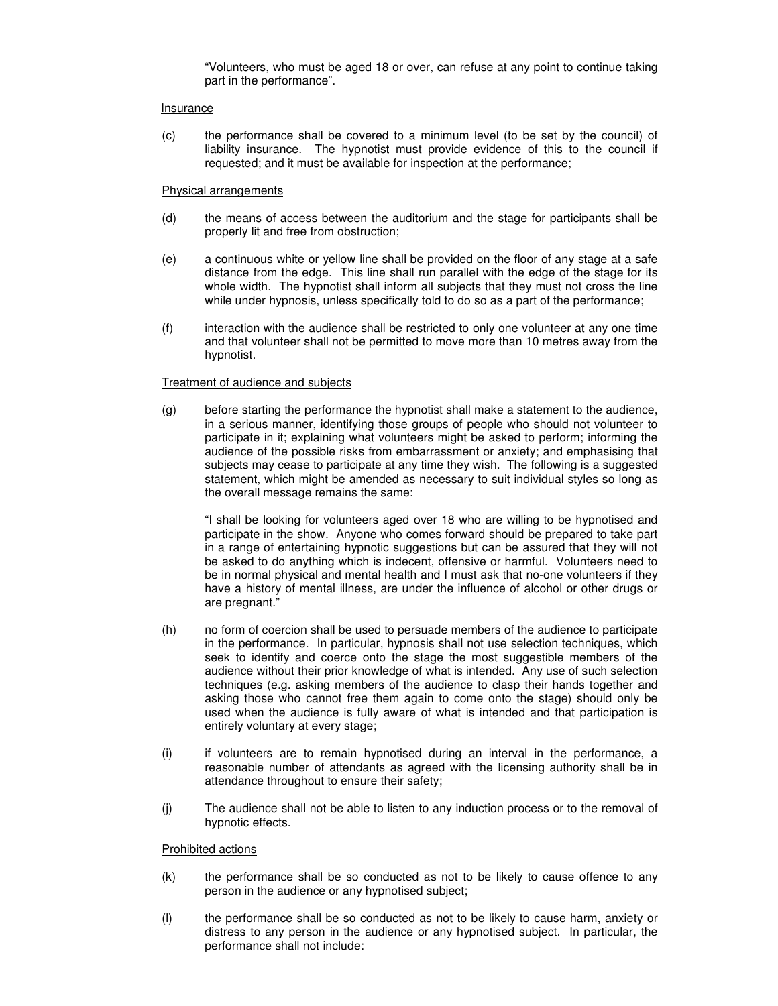"Volunteers, who must be aged 18 or over, can refuse at any point to continue taking part in the performance".

### Insurance

(c) the performance shall be covered to a minimum level (to be set by the council) of liability insurance. The hypnotist must provide evidence of this to the council if requested; and it must be available for inspection at the performance;

### Physical arrangements

- (d) the means of access between the auditorium and the stage for participants shall be properly lit and free from obstruction;
- (e) a continuous white or yellow line shall be provided on the floor of any stage at a safe distance from the edge. This line shall run parallel with the edge of the stage for its whole width. The hypnotist shall inform all subjects that they must not cross the line while under hypnosis, unless specifically told to do so as a part of the performance;
- (f) interaction with the audience shall be restricted to only one volunteer at any one time and that volunteer shall not be permitted to move more than 10 metres away from the hypnotist.

### Treatment of audience and subjects

(g) before starting the performance the hypnotist shall make a statement to the audience, in a serious manner, identifying those groups of people who should not volunteer to participate in it; explaining what volunteers might be asked to perform; informing the audience of the possible risks from embarrassment or anxiety; and emphasising that subjects may cease to participate at any time they wish. The following is a suggested statement, which might be amended as necessary to suit individual styles so long as the overall message remains the same:

"I shall be looking for volunteers aged over 18 who are willing to be hypnotised and participate in the show. Anyone who comes forward should be prepared to take part in a range of entertaining hypnotic suggestions but can be assured that they will not be asked to do anything which is indecent, offensive or harmful. Volunteers need to be in normal physical and mental health and I must ask that no-one volunteers if they have a history of mental illness, are under the influence of alcohol or other drugs or are pregnant."

- (h) no form of coercion shall be used to persuade members of the audience to participate in the performance. In particular, hypnosis shall not use selection techniques, which seek to identify and coerce onto the stage the most suggestible members of the audience without their prior knowledge of what is intended. Any use of such selection techniques (e.g. asking members of the audience to clasp their hands together and asking those who cannot free them again to come onto the stage) should only be used when the audience is fully aware of what is intended and that participation is entirely voluntary at every stage;
- (i) if volunteers are to remain hypnotised during an interval in the performance, a reasonable number of attendants as agreed with the licensing authority shall be in attendance throughout to ensure their safety;
- (j) The audience shall not be able to listen to any induction process or to the removal of hypnotic effects.

## Prohibited actions

- (k) the performance shall be so conducted as not to be likely to cause offence to any person in the audience or any hypnotised subject;
- (l) the performance shall be so conducted as not to be likely to cause harm, anxiety or distress to any person in the audience or any hypnotised subject. In particular, the performance shall not include: